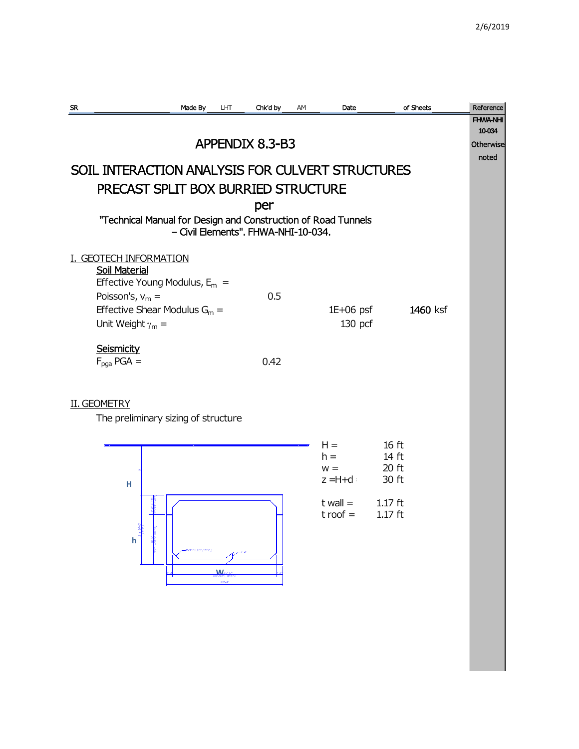| SR.                                                           | Made By                             | LHT | Chk'd by        | AM | Date         |                  | of Sheets | Reference       |
|---------------------------------------------------------------|-------------------------------------|-----|-----------------|----|--------------|------------------|-----------|-----------------|
|                                                               |                                     |     |                 |    |              |                  |           | <b>FHWA-NHI</b> |
|                                                               |                                     |     |                 |    |              |                  |           | 10-034          |
|                                                               |                                     |     | APPENDIX 8.3-B3 |    |              |                  |           | Otherwise       |
| SOIL INTERACTION ANALYSIS FOR CULVERT STRUCTURES              |                                     |     |                 |    |              |                  |           | noted           |
| PRECAST SPLIT BOX BURRIED STRUCTURE                           |                                     |     |                 |    |              |                  |           |                 |
|                                                               |                                     |     |                 |    |              |                  |           |                 |
|                                                               |                                     |     | per             |    |              |                  |           |                 |
| "Technical Manual for Design and Construction of Road Tunnels |                                     |     |                 |    |              |                  |           |                 |
| - Civil Elements". FHWA-NHI-10-034.                           |                                     |     |                 |    |              |                  |           |                 |
|                                                               |                                     |     |                 |    |              |                  |           |                 |
| . GEOTECH INFORMATION<br><b>Soil Material</b>                 |                                     |     |                 |    |              |                  |           |                 |
|                                                               | Effective Young Modulus, $E_m =$    |     |                 |    |              |                  |           |                 |
| Poisson's, $v_m =$                                            |                                     |     | 0.5             |    |              |                  |           |                 |
|                                                               | Effective Shear Modulus $G_m =$     |     |                 |    | $1E+06$ psf  |                  | 1460 ksf  |                 |
| Unit Weight $\gamma_m =$                                      |                                     |     |                 |    | $130$ pcf    |                  |           |                 |
|                                                               |                                     |     |                 |    |              |                  |           |                 |
| <b>Seismicity</b>                                             |                                     |     |                 |    |              |                  |           |                 |
| $F_{pqa}$ PGA =                                               |                                     |     | 0.42            |    |              |                  |           |                 |
|                                                               |                                     |     |                 |    |              |                  |           |                 |
|                                                               |                                     |     |                 |    |              |                  |           |                 |
| <b>II. GEOMETRY</b>                                           | The preliminary sizing of structure |     |                 |    |              |                  |           |                 |
|                                                               |                                     |     |                 |    |              |                  |           |                 |
|                                                               |                                     |     |                 |    | $H =$        | 16 <sub>ft</sub> |           |                 |
|                                                               |                                     |     |                 |    | $h =$        | 14 ft            |           |                 |
|                                                               |                                     |     |                 |    | $W =$        | 20 ft            |           |                 |
| н                                                             |                                     |     |                 |    | z = H+d      | 30 ft            |           |                 |
|                                                               |                                     |     |                 |    | $t$ wall $=$ | $1.17$ ft        |           |                 |
|                                                               |                                     |     |                 |    | $t$ roof $=$ | $1.17$ ft        |           |                 |
|                                                               |                                     |     |                 |    |              |                  |           |                 |
| h                                                             |                                     |     |                 |    |              |                  |           |                 |
|                                                               | <b>Bri FILLET (TYP.)</b>            |     |                 |    |              |                  |           |                 |
|                                                               |                                     | W   |                 |    |              |                  |           |                 |
|                                                               |                                     |     |                 |    |              |                  |           |                 |
|                                                               |                                     |     |                 |    |              |                  |           |                 |
|                                                               |                                     |     |                 |    |              |                  |           |                 |
|                                                               |                                     |     |                 |    |              |                  |           |                 |
|                                                               |                                     |     |                 |    |              |                  |           |                 |
|                                                               |                                     |     |                 |    |              |                  |           |                 |
|                                                               |                                     |     |                 |    |              |                  |           |                 |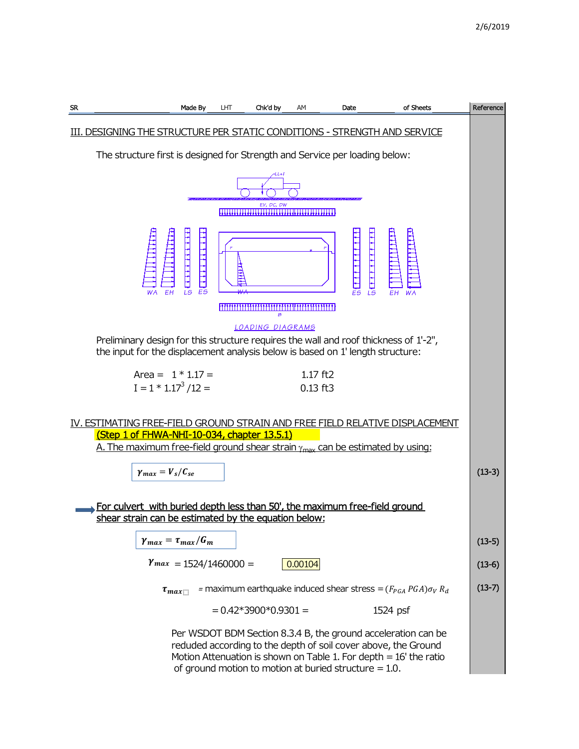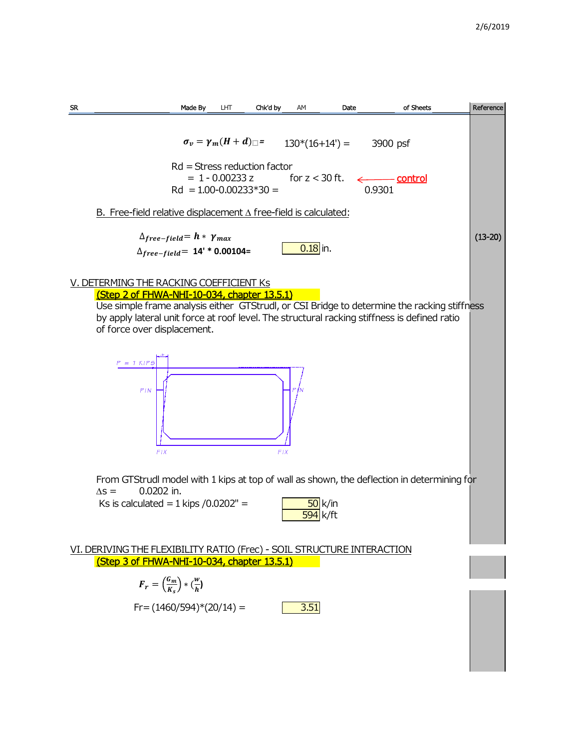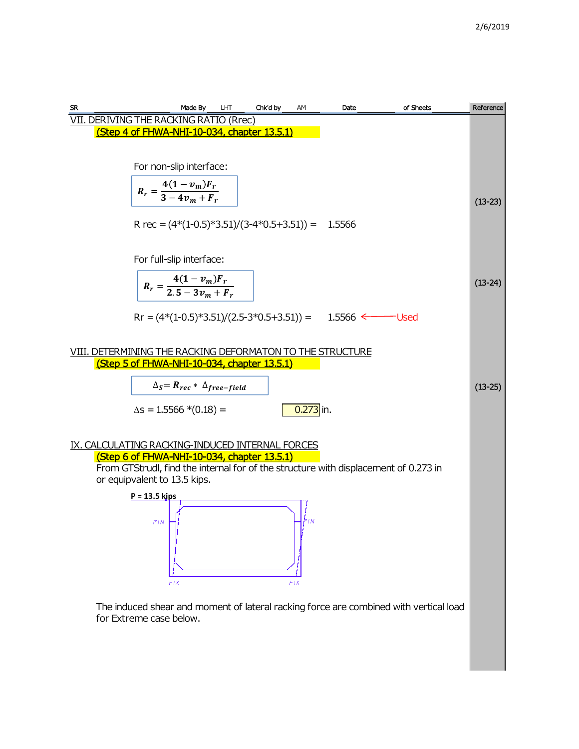